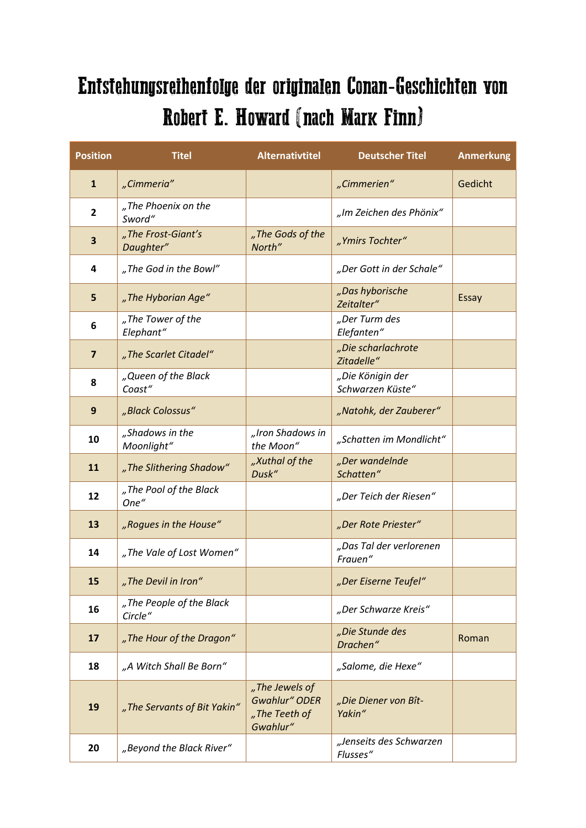## Entstehungsreihenfolge der originalen Conan-Geschichten von Robert E. Howard (nach Mark Finn)

| <b>Position</b> | <b>Titel</b>                        | <b>Alternativtitel</b>                                              | <b>Deutscher Titel</b>               | <b>Anmerkung</b> |
|-----------------|-------------------------------------|---------------------------------------------------------------------|--------------------------------------|------------------|
| $\mathbf{1}$    | "Cimmeria"                          |                                                                     | "Cimmerien"                          | Gedicht          |
| $\mathbf{2}$    | "The Phoenix on the<br>Sword"       |                                                                     | "Im Zeichen des Phönix"              |                  |
| 3               | "The Frost-Giant's<br>Daughter"     | "The Gods of the<br>North"                                          | "Ymirs Tochter"                      |                  |
| 4               | "The God in the Bowl"               |                                                                     | "Der Gott in der Schale"             |                  |
| 5               | "The Hyborian Age"                  |                                                                     | "Das hyborische<br>Zeitalter"        | <b>Essay</b>     |
| 6               | "The Tower of the<br>Elephant"      |                                                                     | "Der Turm des<br>Elefanten"          |                  |
| $\overline{7}$  | "The Scarlet Citadel"               |                                                                     | "Die scharlachrote<br>Zitadelle"     |                  |
| 8               | "Queen of the Black<br>Coast"       |                                                                     | "Die Königin der<br>Schwarzen Küste" |                  |
| 9               | "Black Colossus"                    |                                                                     | "Natohk, der Zauberer"               |                  |
| 10              | "Shadows in the<br>Moonlight"       | "Iron Shadows in<br>the Moon"                                       | "Schatten im Mondlicht"              |                  |
| 11              | "The Slithering Shadow"             | "Xuthal of the<br>Dusk"                                             | "Der wandelnde<br>Schatten"          |                  |
| 12              | "The Pool of the Black<br>One"      |                                                                     | "Der Teich der Riesen"               |                  |
| 13              | "Rogues in the House"               |                                                                     | "Der Rote Priester"                  |                  |
| 14              | "The Vale of Lost Women"            |                                                                     | "Das Tal der verlorenen<br>Frauen"   |                  |
| 15              | "The Devil in Iron"                 |                                                                     | "Der Eiserne Teufel"                 |                  |
| 16              | "The People of the Black<br>Circle" |                                                                     | "Der Schwarze Kreis"                 |                  |
| 17              | "The Hour of the Dragon"            |                                                                     | "Die Stunde des<br>Drachen"          | Roman            |
| 18              | "A Witch Shall Be Born"             |                                                                     | "Salome, die Hexe"                   |                  |
| 19              | "The Servants of Bit Yakin"         | "The Jewels of<br><b>Gwahlur" ODER</b><br>"The Teeth of<br>Gwahlur" | "Die Diener von Bît-<br>Yakin"       |                  |
| 20              | "Beyond the Black River"            |                                                                     | "Jenseits des Schwarzen<br>Flusses"  |                  |